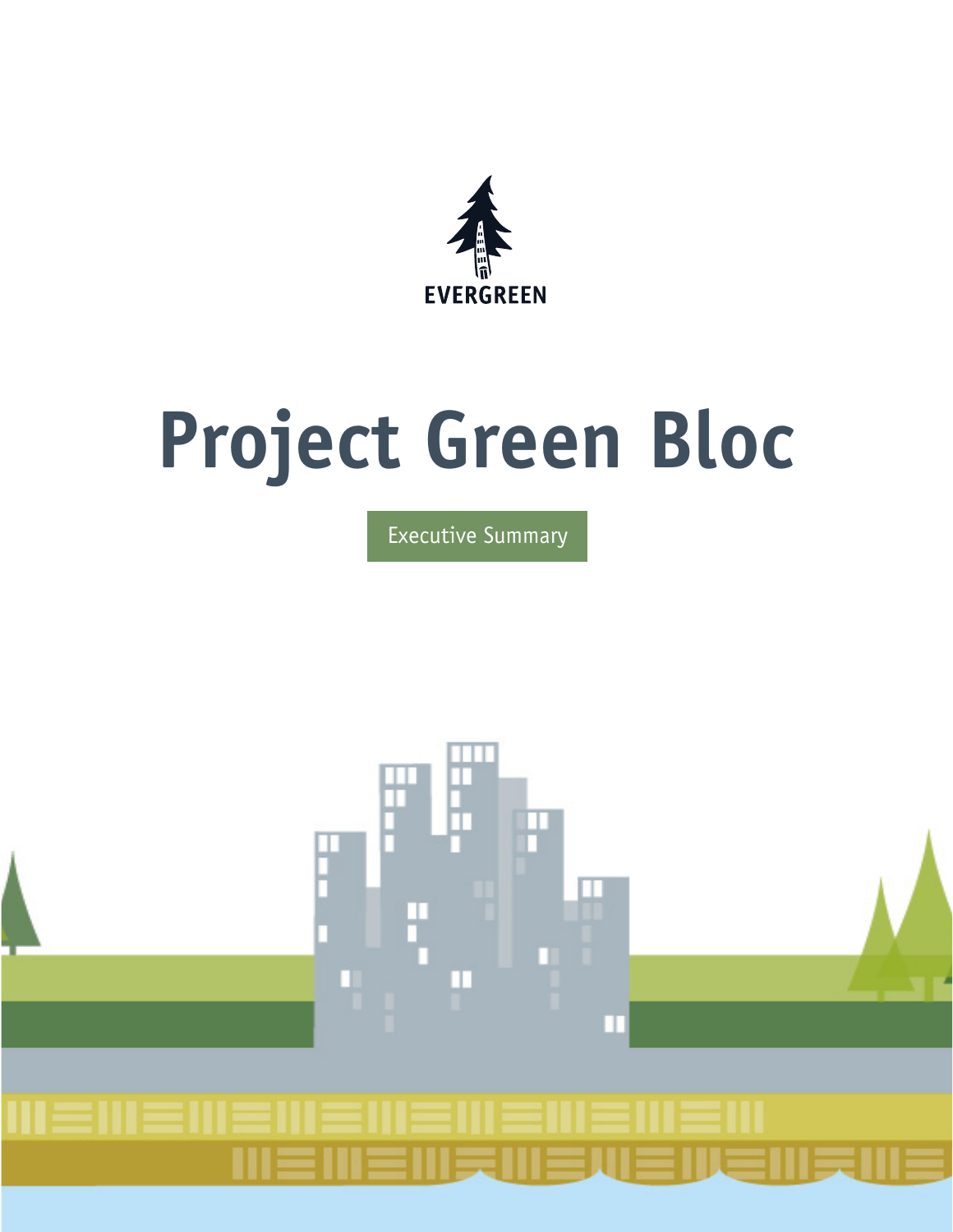

# **Project Green Bloc**

Executive Summary

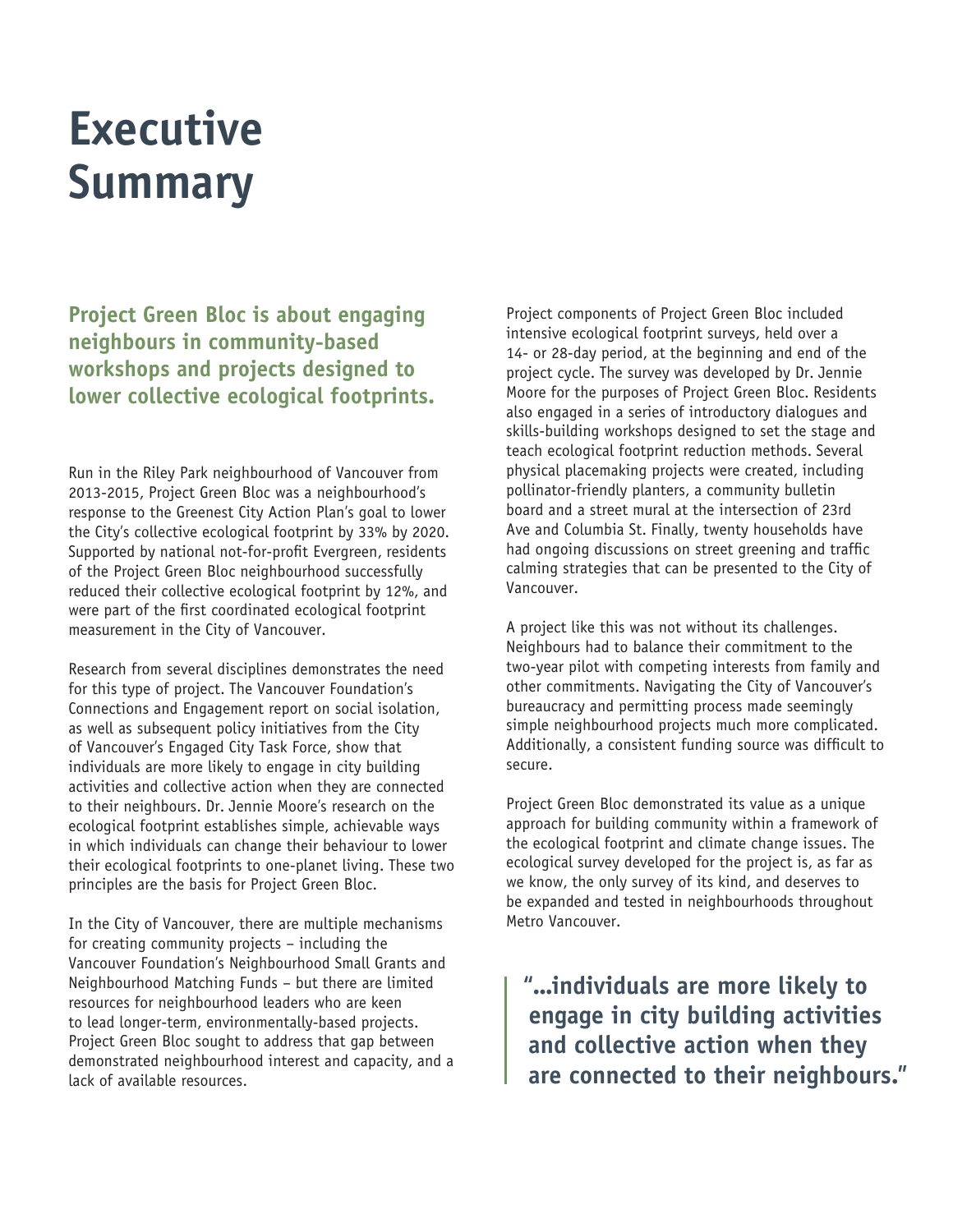# **Executive Summary**

**Project Green Bloc is about engaging neighbours in community-based workshops and projects designed to lower collective ecological footprints.** 

Run in the Riley Park neighbourhood of Vancouver from 2013-2015, Project Green Bloc was a neighbourhood's response to the Greenest City Action Plan's goal to lower the City's collective ecological footprint by 33% by 2020. Supported by national not-for-profit Evergreen, residents of the Project Green Bloc neighbourhood successfully reduced their collective ecological footprint by 12%, and were part of the first coordinated ecological footprint measurement in the City of Vancouver.

Research from several disciplines demonstrates the need for this type of project. The Vancouver Foundation's Connections and Engagement report on social isolation, as well as subsequent policy initiatives from the City of Vancouver's Engaged City Task Force, show that individuals are more likely to engage in city building activities and collective action when they are connected to their neighbours. Dr. Jennie Moore's research on the ecological footprint establishes simple, achievable ways in which individuals can change their behaviour to lower their ecological footprints to one-planet living. These two principles are the basis for Project Green Bloc.

In the City of Vancouver, there are multiple mechanisms for creating community projects – including the Vancouver Foundation's Neighbourhood Small Grants and Neighbourhood Matching Funds – but there are limited resources for neighbourhood leaders who are keen to lead longer-term, environmentally-based projects. Project Green Bloc sought to address that gap between demonstrated neighbourhood interest and capacity, and a lack of available resources.

Project components of Project Green Bloc included intensive ecological footprint surveys, held over a 14- or 28-day period, at the beginning and end of the project cycle. The survey was developed by Dr. Jennie Moore for the purposes of Project Green Bloc. Residents also engaged in a series of introductory dialogues and skills-building workshops designed to set the stage and teach ecological footprint reduction methods. Several physical placemaking projects were created, including pollinator-friendly planters, a community bulletin board and a street mural at the intersection of 23rd Ave and Columbia St. Finally, twenty households have had ongoing discussions on street greening and traffic calming strategies that can be presented to the City of Vancouver.

A project like this was not without its challenges. Neighbours had to balance their commitment to the two-year pilot with competing interests from family and other commitments. Navigating the City of Vancouver's bureaucracy and permitting process made seemingly simple neighbourhood projects much more complicated. Additionally, a consistent funding source was difficult to secure.

Project Green Bloc demonstrated its value as a unique approach for building community within a framework of the ecological footprint and climate change issues. The ecological survey developed for the project is, as far as we know, the only survey of its kind, and deserves to be expanded and tested in neighbourhoods throughout Metro Vancouver.

**"...individuals are more likely to engage in city building activities and collective action when they are connected to their neighbours."**